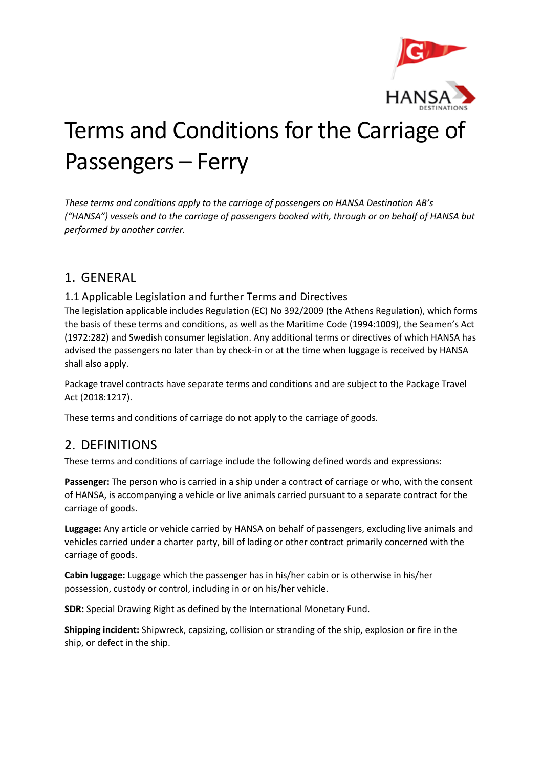

# Terms and Conditions for the Carriage of Passengers – Ferry

*These terms and conditions apply to the carriage of passengers on HANSA Destination AB's ("HANSA") vessels and to the carriage of passengers booked with, through or on behalf of HANSA but performed by another carrier.* 

## 1. GENERAL

#### 1.1 Applicable Legislation and further Terms and Directives

The legislation applicable includes Regulation (EC) No 392/2009 (the Athens Regulation), which forms the basis of these terms and conditions, as well as the Maritime Code (1994:1009), the Seamen's Act (1972:282) and Swedish consumer legislation. Any additional terms or directives of which HANSA has advised the passengers no later than by check-in or at the time when luggage is received by HANSA shall also apply.

Package travel contracts have separate terms and conditions and are subject to the Package Travel Act (2018:1217).

These terms and conditions of carriage do not apply to the carriage of goods.

## 2. DEFINITIONS

These terms and conditions of carriage include the following defined words and expressions:

**Passenger:** The person who is carried in a ship under a contract of carriage or who, with the consent of HANSA, is accompanying a vehicle or live animals carried pursuant to a separate contract for the carriage of goods.

**Luggage:** Any article or vehicle carried by HANSA on behalf of passengers, excluding live animals and vehicles carried under a charter party, bill of lading or other contract primarily concerned with the carriage of goods.

**Cabin luggage:** Luggage which the passenger has in his/her cabin or is otherwise in his/her possession, custody or control, including in or on his/her vehicle.

**SDR:** Special Drawing Right as defined by the International Monetary Fund.

**Shipping incident:** Shipwreck, capsizing, collision or stranding of the ship, explosion or fire in the ship, or defect in the ship.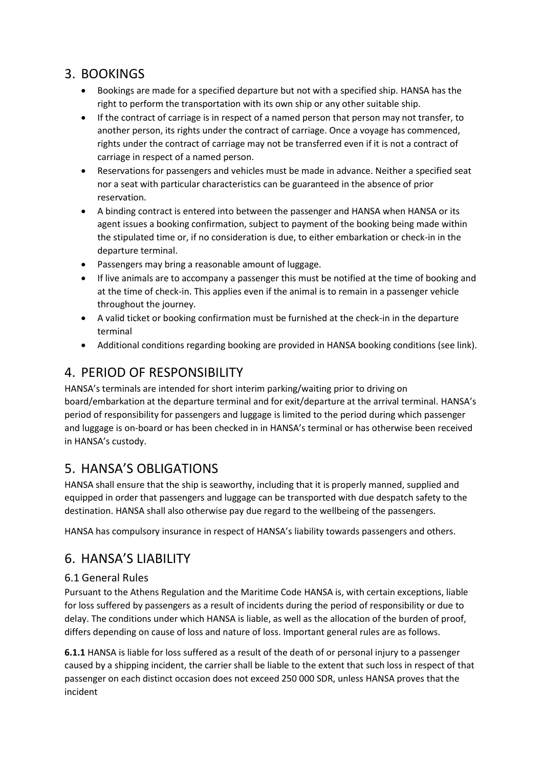## 3. BOOKINGS

- Bookings are made for a specified departure but not with a specified ship. HANSA has the right to perform the transportation with its own ship or any other suitable ship.
- If the contract of carriage is in respect of a named person that person may not transfer, to another person, its rights under the contract of carriage. Once a voyage has commenced, rights under the contract of carriage may not be transferred even if it is not a contract of carriage in respect of a named person.
- Reservations for passengers and vehicles must be made in advance. Neither a specified seat nor a seat with particular characteristics can be guaranteed in the absence of prior reservation.
- A binding contract is entered into between the passenger and HANSA when HANSA or its agent issues a booking confirmation, subject to payment of the booking being made within the stipulated time or, if no consideration is due, to either embarkation or check-in in the departure terminal.
- Passengers may bring a reasonable amount of luggage.
- If live animals are to accompany a passenger this must be notified at the time of booking and at the time of check-in. This applies even if the animal is to remain in a passenger vehicle throughout the journey.
- A valid ticket or booking confirmation must be furnished at the check-in in the departure terminal
- Additional conditions regarding booking are provided in HANSA booking conditions (see link).

## 4. PERIOD OF RESPONSIBILITY

HANSA's terminals are intended for short interim parking/waiting prior to driving on board/embarkation at the departure terminal and for exit/departure at the arrival terminal. HANSA's period of responsibility for passengers and luggage is limited to the period during which passenger and luggage is on-board or has been checked in in HANSA's terminal or has otherwise been received in HANSA's custody.

## 5. HANSA'S OBLIGATIONS

HANSA shall ensure that the ship is seaworthy, including that it is properly manned, supplied and equipped in order that passengers and luggage can be transported with due despatch safety to the destination. HANSA shall also otherwise pay due regard to the wellbeing of the passengers.

HANSA has compulsory insurance in respect of HANSA's liability towards passengers and others.

## 6. HANSA'S LIABILITY

### 6.1 General Rules

Pursuant to the Athens Regulation and the Maritime Code HANSA is, with certain exceptions, liable for loss suffered by passengers as a result of incidents during the period of responsibility or due to delay. The conditions under which HANSA is liable, as well as the allocation of the burden of proof, differs depending on cause of loss and nature of loss. Important general rules are as follows.

**6.1.1** HANSA is liable for loss suffered as a result of the death of or personal injury to a passenger caused by a shipping incident, the carrier shall be liable to the extent that such loss in respect of that passenger on each distinct occasion does not exceed 250 000 SDR, unless HANSA proves that the incident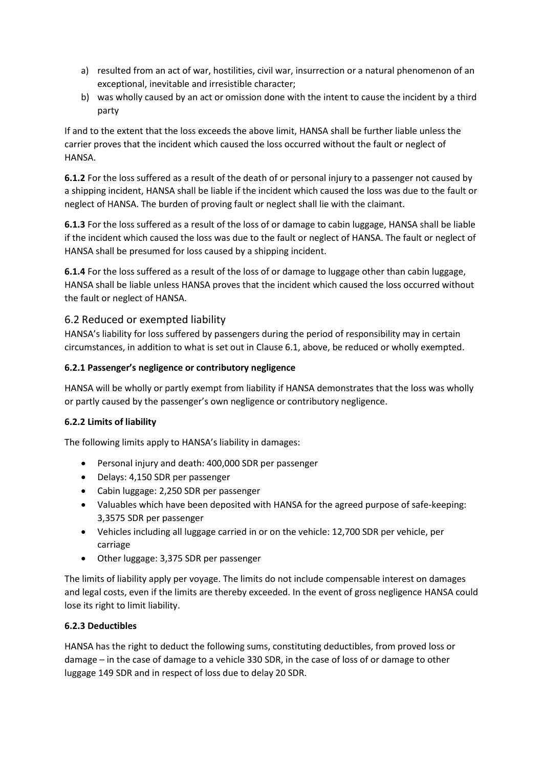- a) resulted from an act of war, hostilities, civil war, insurrection or a natural phenomenon of an exceptional, inevitable and irresistible character;
- b) was wholly caused by an act or omission done with the intent to cause the incident by a third party

If and to the extent that the loss exceeds the above limit, HANSA shall be further liable unless the carrier proves that the incident which caused the loss occurred without the fault or neglect of HANSA.

**6.1.2** For the loss suffered as a result of the death of or personal injury to a passenger not caused by a shipping incident, HANSA shall be liable if the incident which caused the loss was due to the fault or neglect of HANSA. The burden of proving fault or neglect shall lie with the claimant.

**6.1.3** For the loss suffered as a result of the loss of or damage to cabin luggage, HANSA shall be liable if the incident which caused the loss was due to the fault or neglect of HANSA. The fault or neglect of HANSA shall be presumed for loss caused by a shipping incident.

**6.1.4** For the loss suffered as a result of the loss of or damage to luggage other than cabin luggage, HANSA shall be liable unless HANSA proves that the incident which caused the loss occurred without the fault or neglect of HANSA.

#### 6.2 Reduced or exempted liability

HANSA's liability for loss suffered by passengers during the period of responsibility may in certain circumstances, in addition to what is set out in Clause 6.1, above, be reduced or wholly exempted.

#### **6.2.1 Passenger's negligence or contributory negligence**

HANSA will be wholly or partly exempt from liability if HANSA demonstrates that the loss was wholly or partly caused by the passenger's own negligence or contributory negligence.

#### **6.2.2 Limits of liability**

The following limits apply to HANSA's liability in damages:

- Personal injury and death: 400,000 SDR per passenger
- Delays: 4,150 SDR per passenger
- Cabin luggage: 2,250 SDR per passenger
- Valuables which have been deposited with HANSA for the agreed purpose of safe-keeping: 3,3575 SDR per passenger
- Vehicles including all luggage carried in or on the vehicle: 12,700 SDR per vehicle, per carriage
- Other luggage: 3,375 SDR per passenger

The limits of liability apply per voyage. The limits do not include compensable interest on damages and legal costs, even if the limits are thereby exceeded. In the event of gross negligence HANSA could lose its right to limit liability.

#### **6.2.3 Deductibles**

HANSA has the right to deduct the following sums, constituting deductibles, from proved loss or damage – in the case of damage to a vehicle 330 SDR, in the case of loss of or damage to other luggage 149 SDR and in respect of loss due to delay 20 SDR.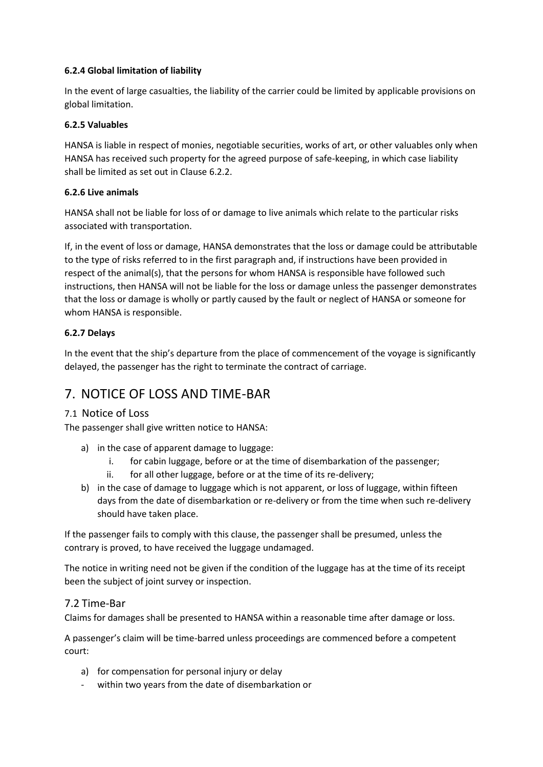#### **6.2.4 Global limitation of liability**

In the event of large casualties, the liability of the carrier could be limited by applicable provisions on global limitation.

#### **6.2.5 Valuables**

HANSA is liable in respect of monies, negotiable securities, works of art, or other valuables only when HANSA has received such property for the agreed purpose of safe-keeping, in which case liability shall be limited as set out in Clause 6.2.2.

#### **6.2.6 Live animals**

HANSA shall not be liable for loss of or damage to live animals which relate to the particular risks associated with transportation.

If, in the event of loss or damage, HANSA demonstrates that the loss or damage could be attributable to the type of risks referred to in the first paragraph and, if instructions have been provided in respect of the animal(s), that the persons for whom HANSA is responsible have followed such instructions, then HANSA will not be liable for the loss or damage unless the passenger demonstrates that the loss or damage is wholly or partly caused by the fault or neglect of HANSA or someone for whom HANSA is responsible.

#### **6.2.7 Delays**

In the event that the ship's departure from the place of commencement of the voyage is significantly delayed, the passenger has the right to terminate the contract of carriage.

## 7. NOTICE OF LOSS AND TIME-BAR

#### 7.1 Notice of Loss

The passenger shall give written notice to HANSA:

- a) in the case of apparent damage to luggage:
	- i. for cabin luggage, before or at the time of disembarkation of the passenger;
	- ii. for all other luggage, before or at the time of its re-delivery;
- b) in the case of damage to luggage which is not apparent, or loss of luggage, within fifteen days from the date of disembarkation or re-delivery or from the time when such re-delivery should have taken place.

If the passenger fails to comply with this clause, the passenger shall be presumed, unless the contrary is proved, to have received the luggage undamaged.

The notice in writing need not be given if the condition of the luggage has at the time of its receipt been the subject of joint survey or inspection.

#### 7.2 Time-Bar

Claims for damages shall be presented to HANSA within a reasonable time after damage or loss.

A passenger's claim will be time-barred unless proceedings are commenced before a competent court:

- a) for compensation for personal injury or delay
- within two years from the date of disembarkation or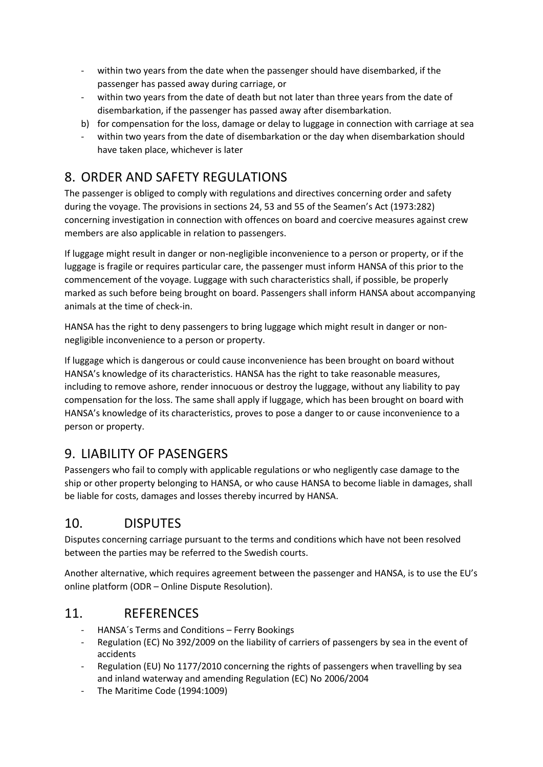- within two years from the date when the passenger should have disembarked, if the passenger has passed away during carriage, or
- within two years from the date of death but not later than three years from the date of disembarkation, if the passenger has passed away after disembarkation.
- b) for compensation for the loss, damage or delay to luggage in connection with carriage at sea
- within two years from the date of disembarkation or the day when disembarkation should have taken place, whichever is later

# 8. ORDER AND SAFETY REGULATIONS

The passenger is obliged to comply with regulations and directives concerning order and safety during the voyage. The provisions in sections 24, 53 and 55 of the Seamen's Act (1973:282) concerning investigation in connection with offences on board and coercive measures against crew members are also applicable in relation to passengers.

If luggage might result in danger or non-negligible inconvenience to a person or property, or if the luggage is fragile or requires particular care, the passenger must inform HANSA of this prior to the commencement of the voyage. Luggage with such characteristics shall, if possible, be properly marked as such before being brought on board. Passengers shall inform HANSA about accompanying animals at the time of check-in.

HANSA has the right to deny passengers to bring luggage which might result in danger or nonnegligible inconvenience to a person or property.

If luggage which is dangerous or could cause inconvenience has been brought on board without HANSA's knowledge of its characteristics. HANSA has the right to take reasonable measures, including to remove ashore, render innocuous or destroy the luggage, without any liability to pay compensation for the loss. The same shall apply if luggage, which has been brought on board with HANSA's knowledge of its characteristics, proves to pose a danger to or cause inconvenience to a person or property.

## 9. LIABILITY OF PASENGERS

Passengers who fail to comply with applicable regulations or who negligently case damage to the ship or other property belonging to HANSA, or who cause HANSA to become liable in damages, shall be liable for costs, damages and losses thereby incurred by HANSA.

## 10. DISPUTES

Disputes concerning carriage pursuant to the terms and conditions which have not been resolved between the parties may be referred to the Swedish courts.

Another alternative, which requires agreement between the passenger and HANSA, is to use the EU's online platform (ODR – Online Dispute Resolution).

## 11. REFERENCES

- HANSA´s Terms and Conditions Ferry Bookings
- Regulation (EC) No 392/2009 on the liability of carriers of passengers by sea in the event of accidents
- Regulation (EU) No 1177/2010 concerning the rights of passengers when travelling by sea and inland waterway and amending Regulation (EC) No 2006/2004
- The Maritime Code (1994:1009)